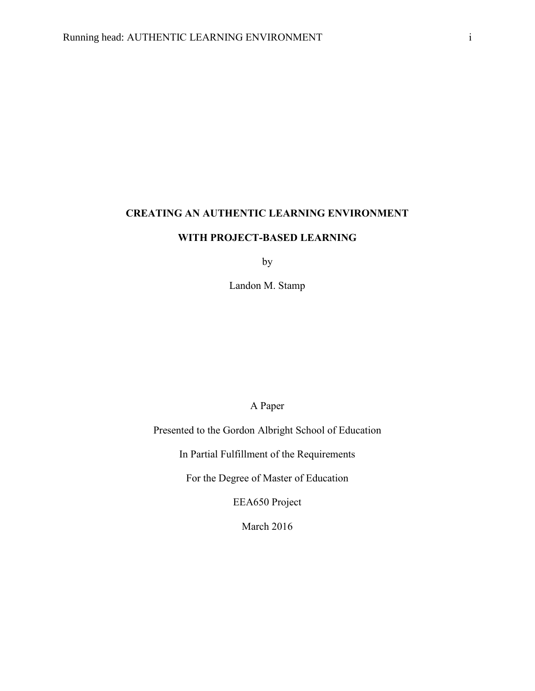# **CREATING AN AUTHENTIC LEARNING ENVIRONMENT**

## **WITH PROJECT-BASED LEARNING**

by

Landon M. Stamp

A Paper

Presented to the Gordon Albright School of Education

In Partial Fulfillment of the Requirements

For the Degree of Master of Education

EEA650 Project

March 2016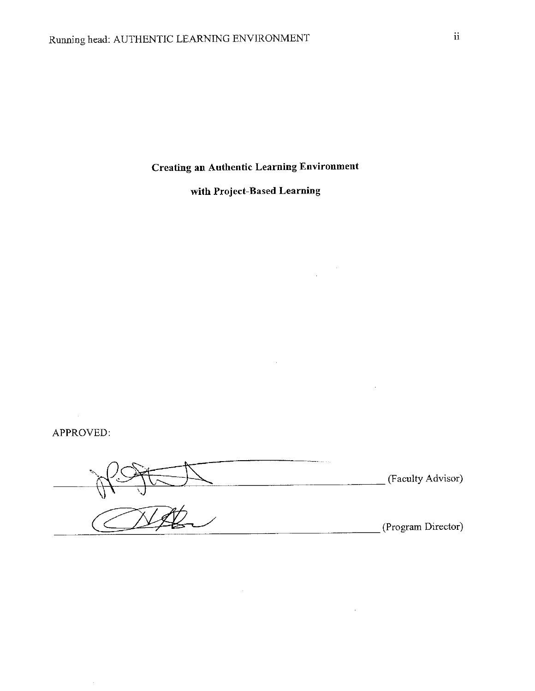**Creating an Authentic Learning Environment** 

with Project-Based Learning

 $\sim$ 

 $\mathcal{L}^{\mathcal{L}}$ 

APPROVED:

(Faculty Advisor) (Program Director)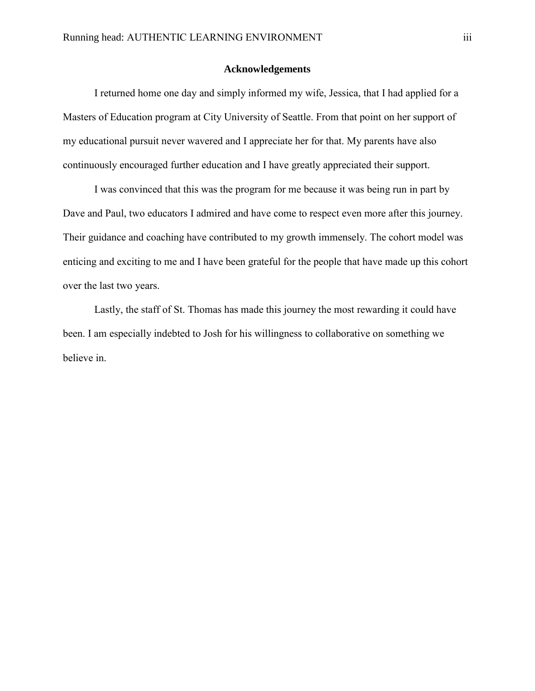## **Acknowledgements**

I returned home one day and simply informed my wife, Jessica, that I had applied for a Masters of Education program at City University of Seattle. From that point on her support of my educational pursuit never wavered and I appreciate her for that. My parents have also continuously encouraged further education and I have greatly appreciated their support.

I was convinced that this was the program for me because it was being run in part by Dave and Paul, two educators I admired and have come to respect even more after this journey. Their guidance and coaching have contributed to my growth immensely. The cohort model was enticing and exciting to me and I have been grateful for the people that have made up this cohort over the last two years.

Lastly, the staff of St. Thomas has made this journey the most rewarding it could have been. I am especially indebted to Josh for his willingness to collaborative on something we believe in.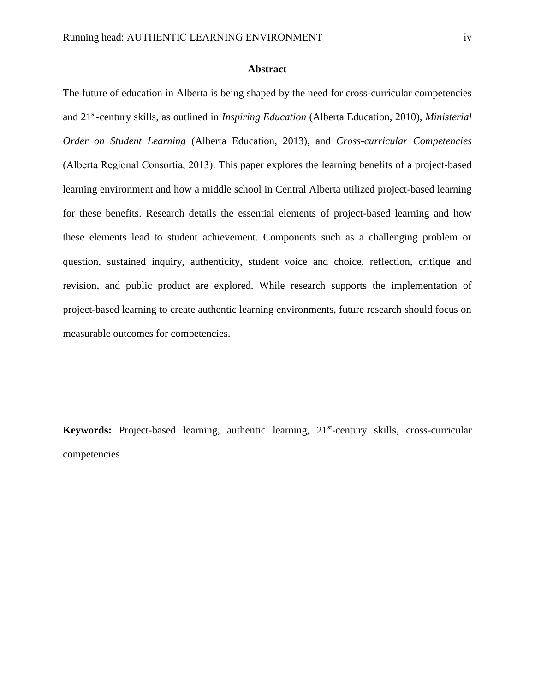## **Abstract**

The future of education in Alberta is being shaped by the need for cross-curricular competencies and 21st -century skills, as outlined in *Inspiring Education* (Alberta Education, 2010), *Ministerial Order on Student Learning* (Alberta Education, 2013), and *Cross-curricular Competencies* (Alberta Regional Consortia, 2013). This paper explores the learning benefits of a project-based learning environment and how a middle school in Central Alberta utilized project-based learning for these benefits. Research details the essential elements of project-based learning and how these elements lead to student achievement. Components such as a challenging problem or question, sustained inquiry, authenticity, student voice and choice, reflection, critique and revision, and public product are explored. While research supports the implementation of project-based learning to create authentic learning environments, future research should focus on measurable outcomes for competencies.

Keywords: Project-based learning, authentic learning, 21<sup>st</sup>-century skills, cross-curricular competencies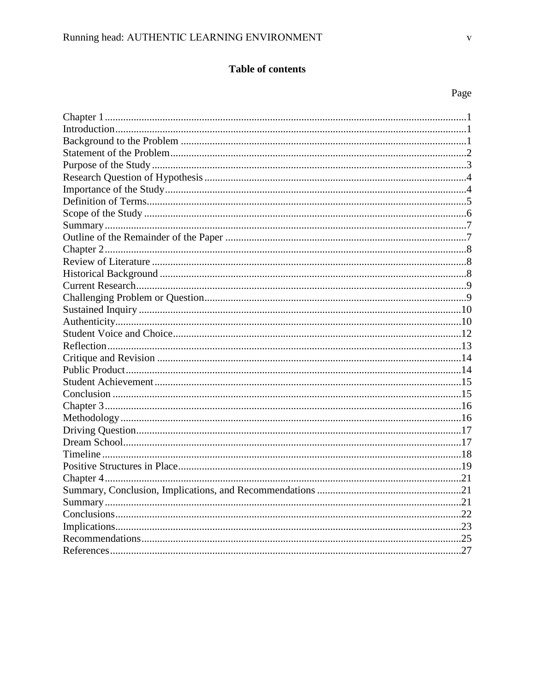## Table of contents

## Page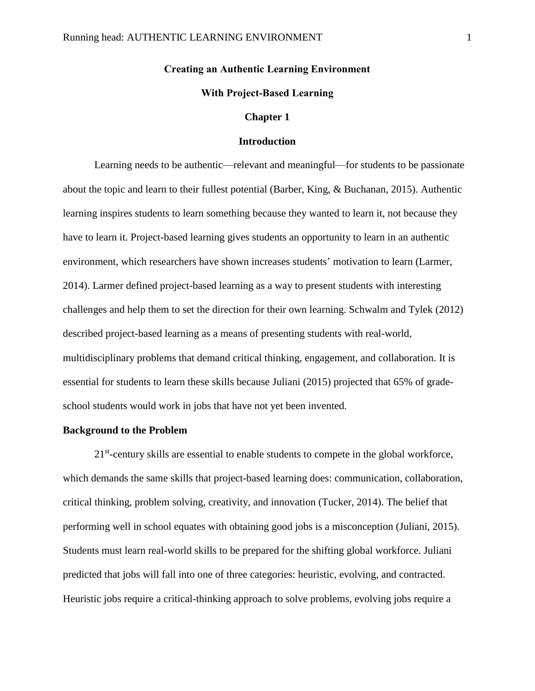## **Creating an Authentic Learning Environment**

## **With Project-Based Learning**

## **Chapter 1**

## **Introduction**

<span id="page-5-1"></span><span id="page-5-0"></span>Learning needs to be authentic—relevant and meaningful—for students to be passionate about the topic and learn to their fullest potential (Barber, King, & Buchanan, 2015). Authentic learning inspires students to learn something because they wanted to learn it, not because they have to learn it. Project-based learning gives students an opportunity to learn in an authentic environment, which researchers have shown increases students' motivation to learn (Larmer, 2014). Larmer defined project-based learning as a way to present students with interesting challenges and help them to set the direction for their own learning. Schwalm and Tylek (2012) described project-based learning as a means of presenting students with real-world, multidisciplinary problems that demand critical thinking, engagement, and collaboration. It is essential for students to learn these skills because Juliani (2015) projected that 65% of gradeschool students would work in jobs that have not yet been invented.

#### <span id="page-5-2"></span>**Background to the Problem**

21<sup>st</sup>-century skills are essential to enable students to compete in the global workforce, which demands the same skills that project-based learning does: communication, collaboration, critical thinking, problem solving, creativity, and innovation (Tucker, 2014). The belief that performing well in school equates with obtaining good jobs is a misconception (Juliani, 2015). Students must learn real-world skills to be prepared for the shifting global workforce. Juliani predicted that jobs will fall into one of three categories: heuristic, evolving, and contracted. Heuristic jobs require a critical-thinking approach to solve problems, evolving jobs require a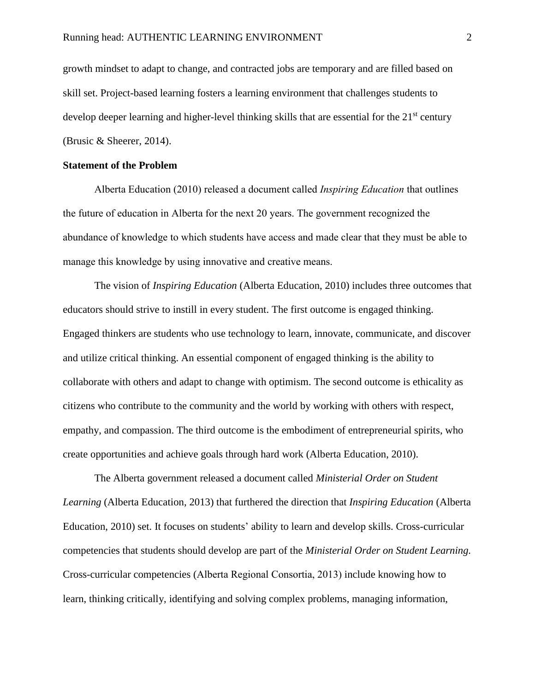growth mindset to adapt to change, and contracted jobs are temporary and are filled based on skill set. Project-based learning fosters a learning environment that challenges students to develop deeper learning and higher-level thinking skills that are essential for the 21<sup>st</sup> century (Brusic & Sheerer, 2014).

## <span id="page-6-0"></span>**Statement of the Problem**

Alberta Education (2010) released a document called *Inspiring Education* that outlines the future of education in Alberta for the next 20 years. The government recognized the abundance of knowledge to which students have access and made clear that they must be able to manage this knowledge by using innovative and creative means.

The vision of *Inspiring Education* (Alberta Education, 2010) includes three outcomes that educators should strive to instill in every student. The first outcome is engaged thinking. Engaged thinkers are students who use technology to learn, innovate, communicate, and discover and utilize critical thinking. An essential component of engaged thinking is the ability to collaborate with others and adapt to change with optimism. The second outcome is ethicality as citizens who contribute to the community and the world by working with others with respect, empathy, and compassion. The third outcome is the embodiment of entrepreneurial spirits, who create opportunities and achieve goals through hard work (Alberta Education, 2010).

The Alberta government released a document called *Ministerial Order on Student Learning* (Alberta Education, 2013) that furthered the direction that *Inspiring Education* (Alberta Education, 2010) set. It focuses on students' ability to learn and develop skills. Cross-curricular competencies that students should develop are part of the *Ministerial Order on Student Learning.*  Cross-curricular competencies (Alberta Regional Consortia, 2013) include knowing how to learn, thinking critically, identifying and solving complex problems, managing information,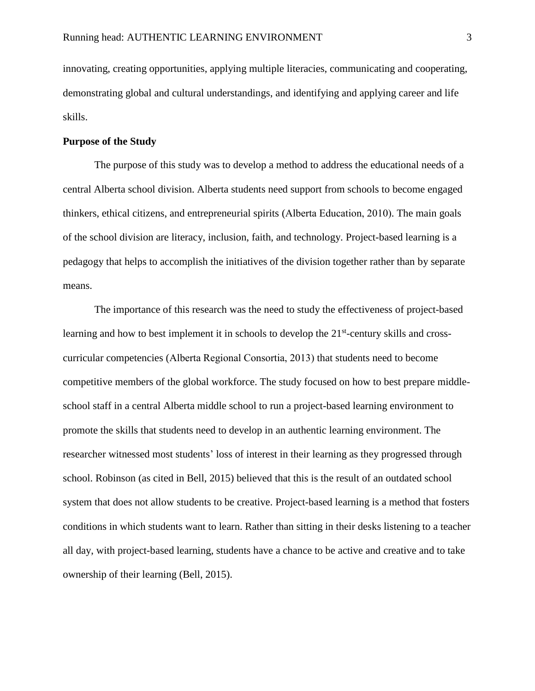innovating, creating opportunities, applying multiple literacies, communicating and cooperating, demonstrating global and cultural understandings, and identifying and applying career and life skills.

## <span id="page-7-0"></span>**Purpose of the Study**

The purpose of this study was to develop a method to address the educational needs of a central Alberta school division. Alberta students need support from schools to become engaged thinkers, ethical citizens, and entrepreneurial spirits (Alberta Education, 2010). The main goals of the school division are literacy, inclusion, faith, and technology. Project-based learning is a pedagogy that helps to accomplish the initiatives of the division together rather than by separate means.

The importance of this research was the need to study the effectiveness of project-based learning and how to best implement it in schools to develop the  $21<sup>st</sup>$ -century skills and crosscurricular competencies (Alberta Regional Consortia, 2013) that students need to become competitive members of the global workforce. The study focused on how to best prepare middleschool staff in a central Alberta middle school to run a project-based learning environment to promote the skills that students need to develop in an authentic learning environment. The researcher witnessed most students' loss of interest in their learning as they progressed through school. Robinson (as cited in Bell, 2015) believed that this is the result of an outdated school system that does not allow students to be creative. Project-based learning is a method that fosters conditions in which students want to learn. Rather than sitting in their desks listening to a teacher all day, with project-based learning, students have a chance to be active and creative and to take ownership of their learning (Bell, 2015).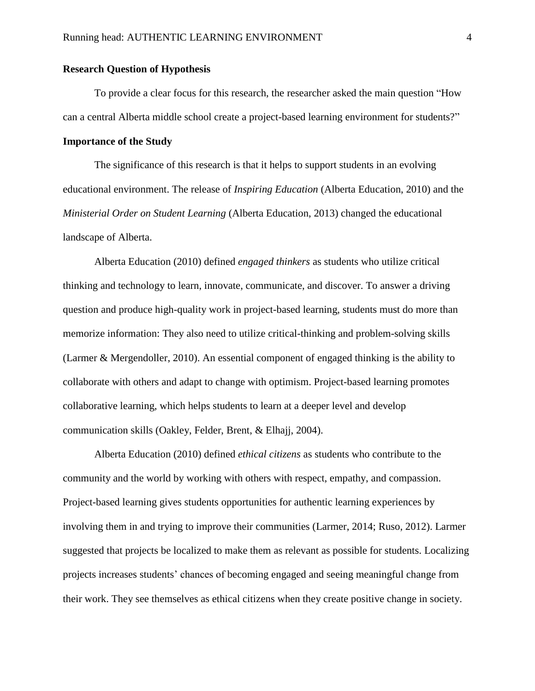## <span id="page-8-0"></span>**Research Question of Hypothesis**

To provide a clear focus for this research, the researcher asked the main question "How can a central Alberta middle school create a project-based learning environment for students?"

## <span id="page-8-1"></span>**Importance of the Study**

The significance of this research is that it helps to support students in an evolving educational environment. The release of *Inspiring Education* (Alberta Education, 2010) and the *Ministerial Order on Student Learning* (Alberta Education, 2013) changed the educational landscape of Alberta.

Alberta Education (2010) defined *engaged thinkers* as students who utilize critical thinking and technology to learn, innovate, communicate, and discover. To answer a driving question and produce high-quality work in project-based learning, students must do more than memorize information: They also need to utilize critical-thinking and problem-solving skills (Larmer & Mergendoller, 2010). An essential component of engaged thinking is the ability to collaborate with others and adapt to change with optimism. Project-based learning promotes collaborative learning, which helps students to learn at a deeper level and develop communication skills (Oakley, Felder, Brent, & Elhajj, 2004).

Alberta Education (2010) defined *ethical citizens* as students who contribute to the community and the world by working with others with respect, empathy, and compassion. Project-based learning gives students opportunities for authentic learning experiences by involving them in and trying to improve their communities (Larmer, 2014; Ruso, 2012). Larmer suggested that projects be localized to make them as relevant as possible for students. Localizing projects increases students' chances of becoming engaged and seeing meaningful change from their work. They see themselves as ethical citizens when they create positive change in society.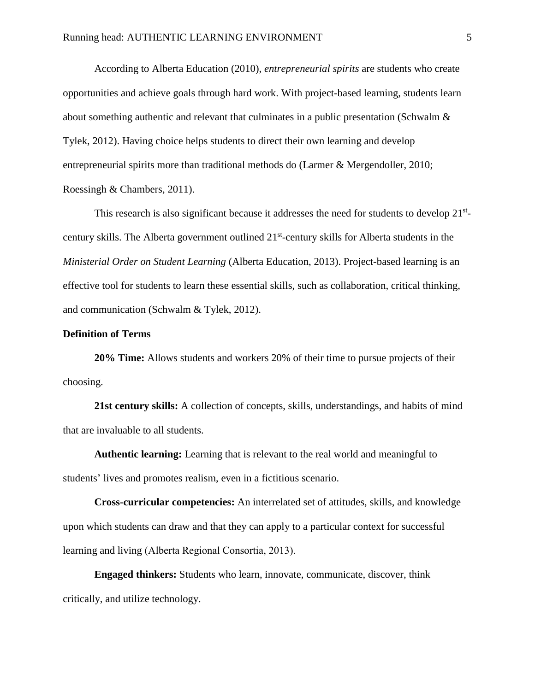According to Alberta Education (2010), *entrepreneurial spirits* are students who create opportunities and achieve goals through hard work. With project-based learning, students learn about something authentic and relevant that culminates in a public presentation (Schwalm & Tylek, 2012). Having choice helps students to direct their own learning and develop entrepreneurial spirits more than traditional methods do (Larmer & Mergendoller, 2010; Roessingh & Chambers, 2011).

This research is also significant because it addresses the need for students to develop 21<sup>st</sup>century skills. The Alberta government outlined 21<sup>st</sup>-century skills for Alberta students in the *Ministerial Order on Student Learning* (Alberta Education, 2013). Project-based learning is an effective tool for students to learn these essential skills, such as collaboration, critical thinking, and communication (Schwalm & Tylek, 2012).

#### <span id="page-9-0"></span>**Definition of Terms**

**20% Time:** Allows students and workers 20% of their time to pursue projects of their choosing.

**21st century skills:** A collection of concepts, skills, understandings, and habits of mind that are invaluable to all students.

**Authentic learning:** Learning that is relevant to the real world and meaningful to students' lives and promotes realism, even in a fictitious scenario.

**Cross-curricular competencies:** An interrelated set of attitudes, skills, and knowledge upon which students can draw and that they can apply to a particular context for successful learning and living (Alberta Regional Consortia, 2013).

**Engaged thinkers:** Students who learn, innovate, communicate, discover, think critically, and utilize technology.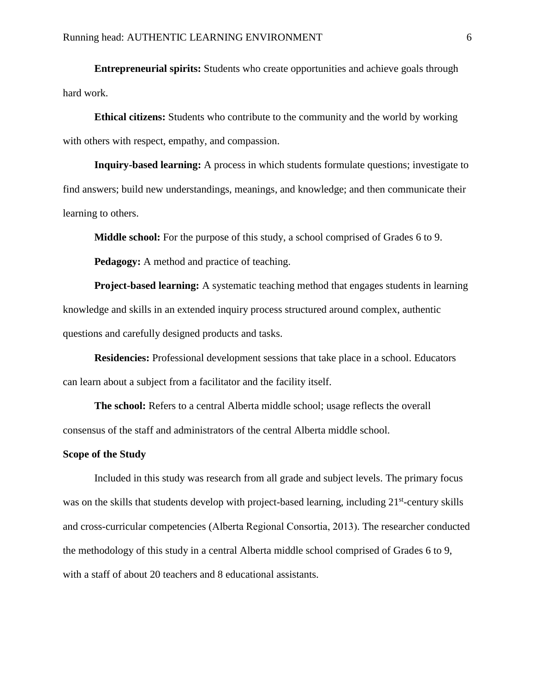**Entrepreneurial spirits:** Students who create opportunities and achieve goals through hard work.

**Ethical citizens:** Students who contribute to the community and the world by working with others with respect, empathy, and compassion.

**Inquiry-based learning:** A process in which students formulate questions; investigate to find answers; build new understandings, meanings, and knowledge; and then communicate their learning to others.

**Middle school:** For the purpose of this study, a school comprised of Grades 6 to 9.

**Pedagogy:** A method and practice of teaching.

**Project-based learning:** A systematic teaching method that engages students in learning knowledge and skills in an extended inquiry process structured around complex, authentic questions and carefully designed products and tasks.

**Residencies:** Professional development sessions that take place in a school. Educators can learn about a subject from a facilitator and the facility itself.

**The school:** Refers to a central Alberta middle school; usage reflects the overall consensus of the staff and administrators of the central Alberta middle school.

#### <span id="page-10-0"></span>**Scope of the Study**

Included in this study was research from all grade and subject levels. The primary focus was on the skills that students develop with project-based learning, including 21<sup>st</sup>-century skills and cross-curricular competencies (Alberta Regional Consortia, 2013). The researcher conducted the methodology of this study in a central Alberta middle school comprised of Grades 6 to 9, with a staff of about 20 teachers and 8 educational assistants.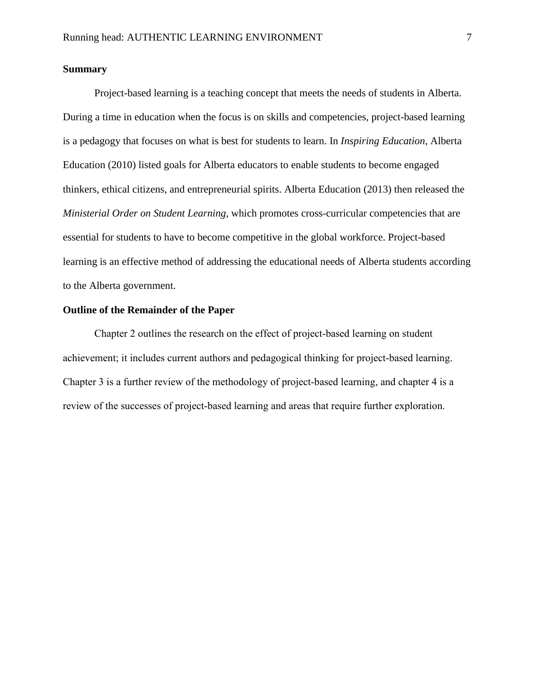## <span id="page-11-0"></span>**Summary**

Project-based learning is a teaching concept that meets the needs of students in Alberta. During a time in education when the focus is on skills and competencies, project-based learning is a pedagogy that focuses on what is best for students to learn. In *Inspiring Education*, Alberta Education (2010) listed goals for Alberta educators to enable students to become engaged thinkers, ethical citizens, and entrepreneurial spirits. Alberta Education (2013) then released the *Ministerial Order on Student Learning*, which promotes cross-curricular competencies that are essential for students to have to become competitive in the global workforce. Project-based learning is an effective method of addressing the educational needs of Alberta students according to the Alberta government.

## <span id="page-11-1"></span>**Outline of the Remainder of the Paper**

Chapter 2 outlines the research on the effect of project-based learning on student achievement; it includes current authors and pedagogical thinking for project-based learning. Chapter 3 is a further review of the methodology of project-based learning, and chapter 4 is a review of the successes of project-based learning and areas that require further exploration.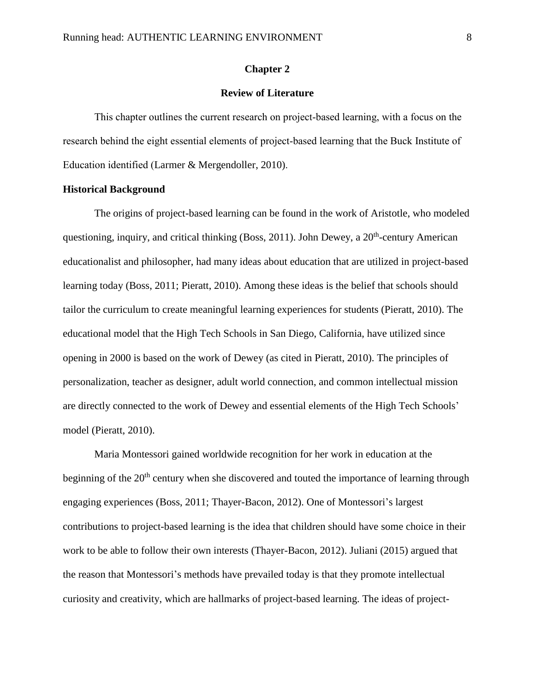## **Chapter 2**

## **Review of Literature**

<span id="page-12-1"></span><span id="page-12-0"></span>This chapter outlines the current research on project-based learning, with a focus on the research behind the eight essential elements of project-based learning that the Buck Institute of Education identified (Larmer & Mergendoller, 2010).

#### <span id="page-12-2"></span>**Historical Background**

The origins of project-based learning can be found in the work of Aristotle, who modeled questioning, inquiry, and critical thinking (Boss, 2011). John Dewey, a 20<sup>th</sup>-century American educationalist and philosopher, had many ideas about education that are utilized in project-based learning today (Boss, 2011; Pieratt, 2010). Among these ideas is the belief that schools should tailor the curriculum to create meaningful learning experiences for students (Pieratt, 2010). The educational model that the High Tech Schools in San Diego, California, have utilized since opening in 2000 is based on the work of Dewey (as cited in Pieratt, 2010). The principles of personalization, teacher as designer, adult world connection, and common intellectual mission are directly connected to the work of Dewey and essential elements of the High Tech Schools' model (Pieratt, 2010).

Maria Montessori gained worldwide recognition for her work in education at the beginning of the 20<sup>th</sup> century when she discovered and touted the importance of learning through engaging experiences (Boss, 2011; Thayer-Bacon, 2012). One of Montessori's largest contributions to project-based learning is the idea that children should have some choice in their work to be able to follow their own interests (Thayer-Bacon, 2012). Juliani (2015) argued that the reason that Montessori's methods have prevailed today is that they promote intellectual curiosity and creativity, which are hallmarks of project-based learning. The ideas of project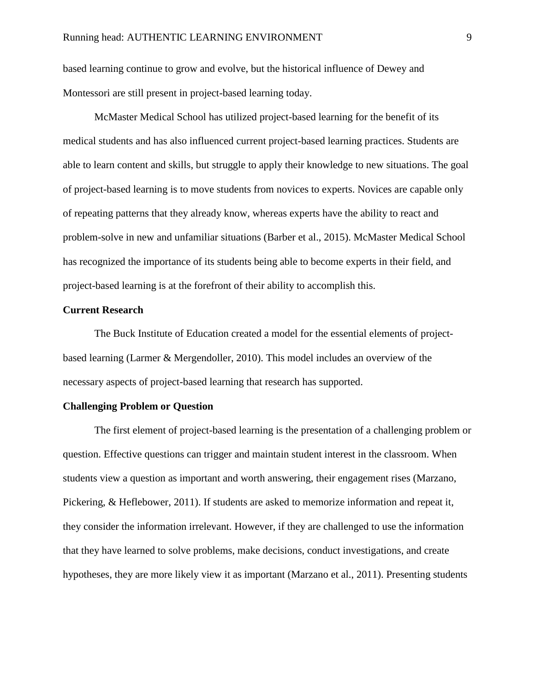based learning continue to grow and evolve, but the historical influence of Dewey and Montessori are still present in project-based learning today.

McMaster Medical School has utilized project-based learning for the benefit of its medical students and has also influenced current project-based learning practices. Students are able to learn content and skills, but struggle to apply their knowledge to new situations. The goal of project-based learning is to move students from novices to experts. Novices are capable only of repeating patterns that they already know, whereas experts have the ability to react and problem-solve in new and unfamiliar situations (Barber et al., 2015). McMaster Medical School has recognized the importance of its students being able to become experts in their field, and project-based learning is at the forefront of their ability to accomplish this.

#### <span id="page-13-0"></span>**Current Research**

The Buck Institute of Education created a model for the essential elements of projectbased learning (Larmer & Mergendoller, 2010). This model includes an overview of the necessary aspects of project-based learning that research has supported.

#### <span id="page-13-1"></span>**Challenging Problem or Question**

The first element of project-based learning is the presentation of a challenging problem or question. Effective questions can trigger and maintain student interest in the classroom. When students view a question as important and worth answering, their engagement rises (Marzano, Pickering, & Heflebower, 2011). If students are asked to memorize information and repeat it, they consider the information irrelevant. However, if they are challenged to use the information that they have learned to solve problems, make decisions, conduct investigations, and create hypotheses, they are more likely view it as important (Marzano et al., 2011). Presenting students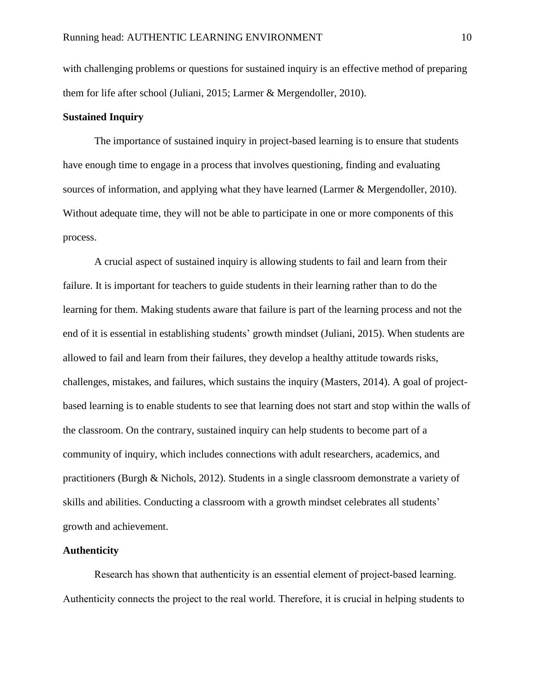with challenging problems or questions for sustained inquiry is an effective method of preparing them for life after school (Juliani, 2015; Larmer & Mergendoller, 2010).

## <span id="page-14-0"></span>**Sustained Inquiry**

The importance of sustained inquiry in project-based learning is to ensure that students have enough time to engage in a process that involves questioning, finding and evaluating sources of information, and applying what they have learned (Larmer & Mergendoller, 2010). Without adequate time, they will not be able to participate in one or more components of this process.

A crucial aspect of sustained inquiry is allowing students to fail and learn from their failure. It is important for teachers to guide students in their learning rather than to do the learning for them. Making students aware that failure is part of the learning process and not the end of it is essential in establishing students' growth mindset (Juliani, 2015). When students are allowed to fail and learn from their failures, they develop a healthy attitude towards risks, challenges, mistakes, and failures, which sustains the inquiry (Masters, 2014). A goal of projectbased learning is to enable students to see that learning does not start and stop within the walls of the classroom. On the contrary, sustained inquiry can help students to become part of a community of inquiry, which includes connections with adult researchers, academics, and practitioners (Burgh & Nichols, 2012). Students in a single classroom demonstrate a variety of skills and abilities. Conducting a classroom with a growth mindset celebrates all students' growth and achievement.

## <span id="page-14-1"></span>**Authenticity**

Research has shown that authenticity is an essential element of project-based learning. Authenticity connects the project to the real world. Therefore, it is crucial in helping students to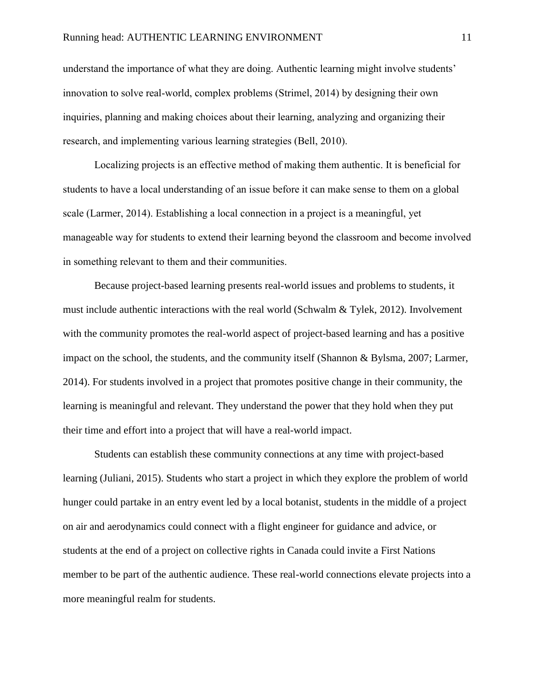understand the importance of what they are doing. Authentic learning might involve students' innovation to solve real-world, complex problems (Strimel, 2014) by designing their own inquiries, planning and making choices about their learning, analyzing and organizing their research, and implementing various learning strategies (Bell, 2010).

Localizing projects is an effective method of making them authentic. It is beneficial for students to have a local understanding of an issue before it can make sense to them on a global scale (Larmer, 2014). Establishing a local connection in a project is a meaningful, yet manageable way for students to extend their learning beyond the classroom and become involved in something relevant to them and their communities.

Because project-based learning presents real-world issues and problems to students, it must include authentic interactions with the real world (Schwalm & Tylek, 2012). Involvement with the community promotes the real-world aspect of project-based learning and has a positive impact on the school, the students, and the community itself (Shannon & Bylsma, 2007; Larmer, 2014). For students involved in a project that promotes positive change in their community, the learning is meaningful and relevant. They understand the power that they hold when they put their time and effort into a project that will have a real-world impact.

Students can establish these community connections at any time with project-based learning (Juliani, 2015). Students who start a project in which they explore the problem of world hunger could partake in an entry event led by a local botanist, students in the middle of a project on air and aerodynamics could connect with a flight engineer for guidance and advice, or students at the end of a project on collective rights in Canada could invite a First Nations member to be part of the authentic audience. These real-world connections elevate projects into a more meaningful realm for students.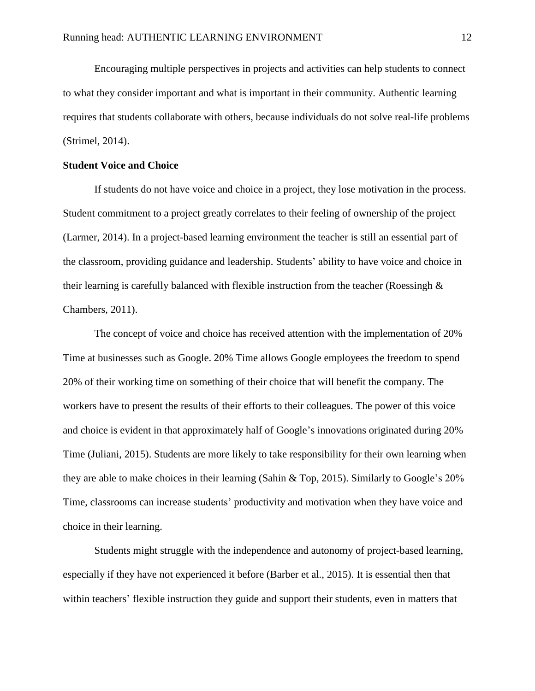Encouraging multiple perspectives in projects and activities can help students to connect to what they consider important and what is important in their community. Authentic learning requires that students collaborate with others, because individuals do not solve real-life problems (Strimel, 2014).

## <span id="page-16-0"></span>**Student Voice and Choice**

If students do not have voice and choice in a project, they lose motivation in the process. Student commitment to a project greatly correlates to their feeling of ownership of the project (Larmer, 2014). In a project-based learning environment the teacher is still an essential part of the classroom, providing guidance and leadership. Students' ability to have voice and choice in their learning is carefully balanced with flexible instruction from the teacher (Roessingh & Chambers, 2011).

The concept of voice and choice has received attention with the implementation of 20% Time at businesses such as Google. 20% Time allows Google employees the freedom to spend 20% of their working time on something of their choice that will benefit the company. The workers have to present the results of their efforts to their colleagues. The power of this voice and choice is evident in that approximately half of Google's innovations originated during 20% Time (Juliani, 2015). Students are more likely to take responsibility for their own learning when they are able to make choices in their learning (Sahin & Top, 2015). Similarly to Google's 20% Time, classrooms can increase students' productivity and motivation when they have voice and choice in their learning.

Students might struggle with the independence and autonomy of project-based learning, especially if they have not experienced it before (Barber et al., 2015). It is essential then that within teachers' flexible instruction they guide and support their students, even in matters that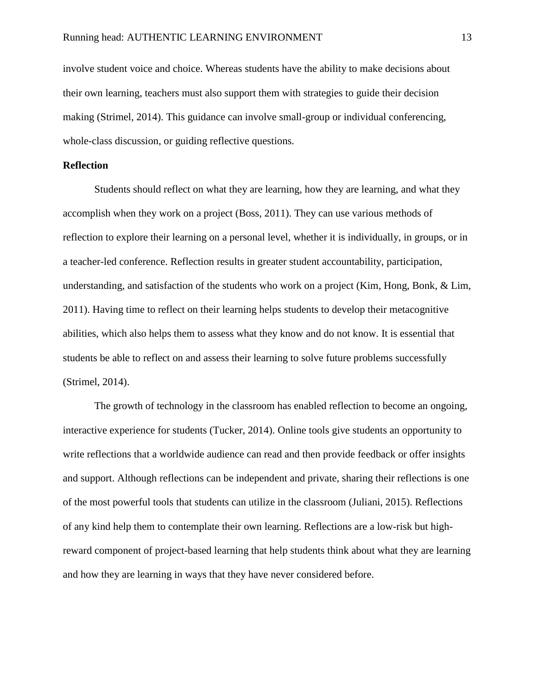involve student voice and choice. Whereas students have the ability to make decisions about their own learning, teachers must also support them with strategies to guide their decision making (Strimel, 2014). This guidance can involve small-group or individual conferencing, whole-class discussion, or guiding reflective questions.

## <span id="page-17-0"></span>**Reflection**

Students should reflect on what they are learning, how they are learning, and what they accomplish when they work on a project (Boss, 2011). They can use various methods of reflection to explore their learning on a personal level, whether it is individually, in groups, or in a teacher-led conference. Reflection results in greater student accountability, participation, understanding, and satisfaction of the students who work on a project (Kim, Hong, Bonk, & Lim, 2011). Having time to reflect on their learning helps students to develop their metacognitive abilities, which also helps them to assess what they know and do not know. It is essential that students be able to reflect on and assess their learning to solve future problems successfully (Strimel, 2014).

The growth of technology in the classroom has enabled reflection to become an ongoing, interactive experience for students (Tucker, 2014). Online tools give students an opportunity to write reflections that a worldwide audience can read and then provide feedback or offer insights and support. Although reflections can be independent and private, sharing their reflections is one of the most powerful tools that students can utilize in the classroom (Juliani, 2015). Reflections of any kind help them to contemplate their own learning. Reflections are a low-risk but highreward component of project-based learning that help students think about what they are learning and how they are learning in ways that they have never considered before.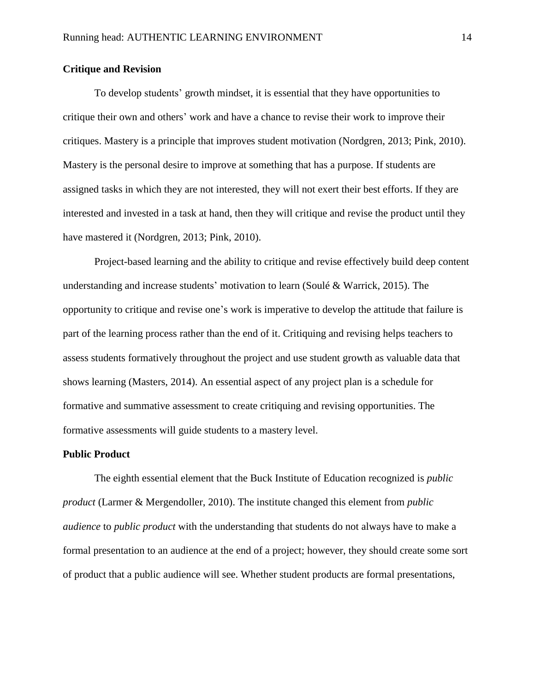## <span id="page-18-0"></span>**Critique and Revision**

To develop students' growth mindset, it is essential that they have opportunities to critique their own and others' work and have a chance to revise their work to improve their critiques. Mastery is a principle that improves student motivation (Nordgren, 2013; Pink, 2010). Mastery is the personal desire to improve at something that has a purpose. If students are assigned tasks in which they are not interested, they will not exert their best efforts. If they are interested and invested in a task at hand, then they will critique and revise the product until they have mastered it (Nordgren, 2013; Pink, 2010).

Project-based learning and the ability to critique and revise effectively build deep content understanding and increase students' motivation to learn (Soulé & Warrick, 2015). The opportunity to critique and revise one's work is imperative to develop the attitude that failure is part of the learning process rather than the end of it. Critiquing and revising helps teachers to assess students formatively throughout the project and use student growth as valuable data that shows learning (Masters, 2014). An essential aspect of any project plan is a schedule for formative and summative assessment to create critiquing and revising opportunities. The formative assessments will guide students to a mastery level.

#### <span id="page-18-1"></span>**Public Product**

The eighth essential element that the Buck Institute of Education recognized is *public product* (Larmer & Mergendoller, 2010). The institute changed this element from *public audience* to *public product* with the understanding that students do not always have to make a formal presentation to an audience at the end of a project; however, they should create some sort of product that a public audience will see. Whether student products are formal presentations,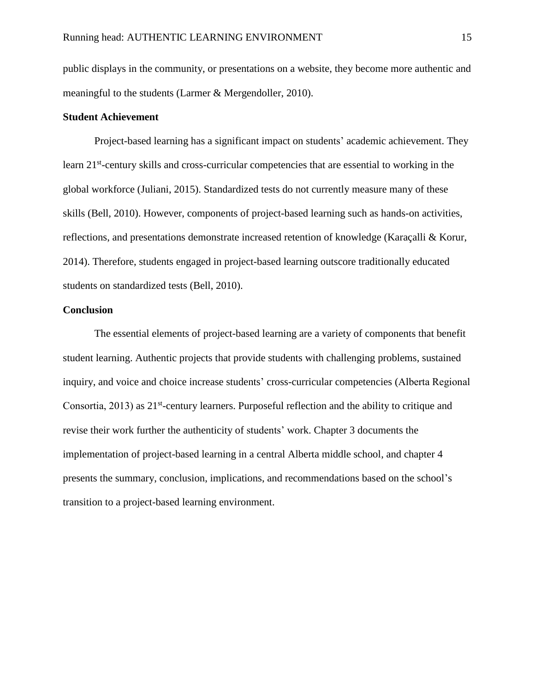public displays in the community, or presentations on a website, they become more authentic and meaningful to the students (Larmer & Mergendoller, 2010).

## <span id="page-19-0"></span>**Student Achievement**

Project-based learning has a significant impact on students' academic achievement. They learn 21<sup>st</sup>-century skills and cross-curricular competencies that are essential to working in the global workforce (Juliani, 2015). Standardized tests do not currently measure many of these skills (Bell, 2010). However, components of project-based learning such as hands-on activities, reflections, and presentations demonstrate increased retention of knowledge (Karaçalli & Korur, 2014). Therefore, students engaged in project-based learning outscore traditionally educated students on standardized tests (Bell, 2010).

#### <span id="page-19-1"></span>**Conclusion**

The essential elements of project-based learning are a variety of components that benefit student learning. Authentic projects that provide students with challenging problems, sustained inquiry, and voice and choice increase students' cross-curricular competencies (Alberta Regional Consortia, 2013) as 21<sup>st</sup>-century learners. Purposeful reflection and the ability to critique and revise their work further the authenticity of students' work. Chapter 3 documents the implementation of project-based learning in a central Alberta middle school, and chapter 4 presents the summary, conclusion, implications, and recommendations based on the school's transition to a project-based learning environment.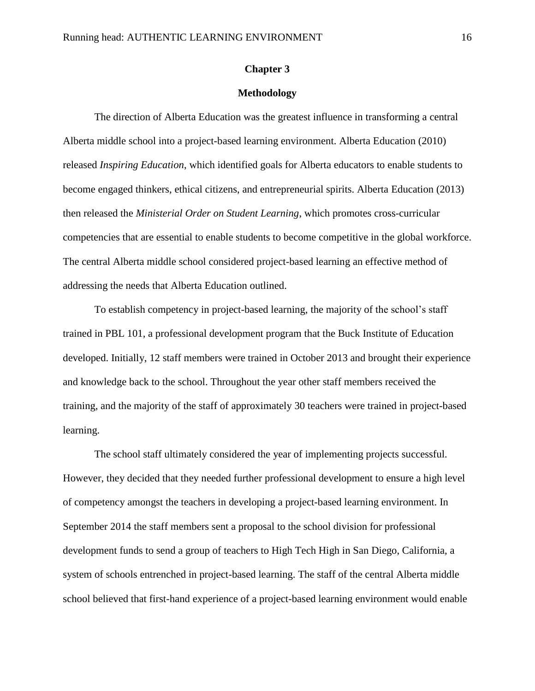## **Chapter 3**

## **Methodology**

<span id="page-20-1"></span><span id="page-20-0"></span>The direction of Alberta Education was the greatest influence in transforming a central Alberta middle school into a project-based learning environment. Alberta Education (2010) released *Inspiring Education*, which identified goals for Alberta educators to enable students to become engaged thinkers, ethical citizens, and entrepreneurial spirits. Alberta Education (2013) then released the *Ministerial Order on Student Learning*, which promotes cross-curricular competencies that are essential to enable students to become competitive in the global workforce. The central Alberta middle school considered project-based learning an effective method of addressing the needs that Alberta Education outlined.

To establish competency in project-based learning, the majority of the school's staff trained in PBL 101, a professional development program that the Buck Institute of Education developed. Initially, 12 staff members were trained in October 2013 and brought their experience and knowledge back to the school. Throughout the year other staff members received the training, and the majority of the staff of approximately 30 teachers were trained in project-based learning.

The school staff ultimately considered the year of implementing projects successful. However, they decided that they needed further professional development to ensure a high level of competency amongst the teachers in developing a project-based learning environment. In September 2014 the staff members sent a proposal to the school division for professional development funds to send a group of teachers to High Tech High in San Diego, California, a system of schools entrenched in project-based learning. The staff of the central Alberta middle school believed that first-hand experience of a project-based learning environment would enable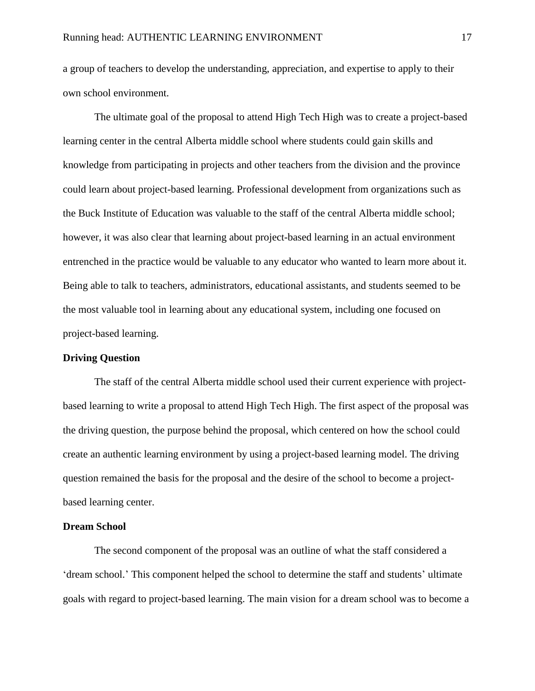a group of teachers to develop the understanding, appreciation, and expertise to apply to their own school environment.

The ultimate goal of the proposal to attend High Tech High was to create a project-based learning center in the central Alberta middle school where students could gain skills and knowledge from participating in projects and other teachers from the division and the province could learn about project-based learning. Professional development from organizations such as the Buck Institute of Education was valuable to the staff of the central Alberta middle school; however, it was also clear that learning about project-based learning in an actual environment entrenched in the practice would be valuable to any educator who wanted to learn more about it. Being able to talk to teachers, administrators, educational assistants, and students seemed to be the most valuable tool in learning about any educational system, including one focused on project-based learning.

## <span id="page-21-0"></span>**Driving Question**

The staff of the central Alberta middle school used their current experience with projectbased learning to write a proposal to attend High Tech High. The first aspect of the proposal was the driving question, the purpose behind the proposal, which centered on how the school could create an authentic learning environment by using a project-based learning model. The driving question remained the basis for the proposal and the desire of the school to become a projectbased learning center.

## <span id="page-21-1"></span>**Dream School**

The second component of the proposal was an outline of what the staff considered a 'dream school.' This component helped the school to determine the staff and students' ultimate goals with regard to project-based learning. The main vision for a dream school was to become a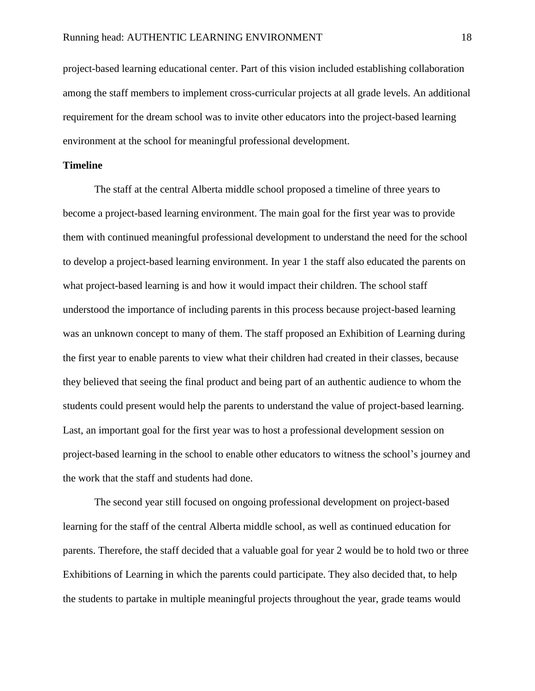project-based learning educational center. Part of this vision included establishing collaboration among the staff members to implement cross-curricular projects at all grade levels. An additional requirement for the dream school was to invite other educators into the project-based learning environment at the school for meaningful professional development.

#### <span id="page-22-0"></span>**Timeline**

The staff at the central Alberta middle school proposed a timeline of three years to become a project-based learning environment. The main goal for the first year was to provide them with continued meaningful professional development to understand the need for the school to develop a project-based learning environment. In year 1 the staff also educated the parents on what project-based learning is and how it would impact their children. The school staff understood the importance of including parents in this process because project-based learning was an unknown concept to many of them. The staff proposed an Exhibition of Learning during the first year to enable parents to view what their children had created in their classes, because they believed that seeing the final product and being part of an authentic audience to whom the students could present would help the parents to understand the value of project-based learning. Last, an important goal for the first year was to host a professional development session on project-based learning in the school to enable other educators to witness the school's journey and the work that the staff and students had done.

The second year still focused on ongoing professional development on project-based learning for the staff of the central Alberta middle school, as well as continued education for parents. Therefore, the staff decided that a valuable goal for year 2 would be to hold two or three Exhibitions of Learning in which the parents could participate. They also decided that, to help the students to partake in multiple meaningful projects throughout the year, grade teams would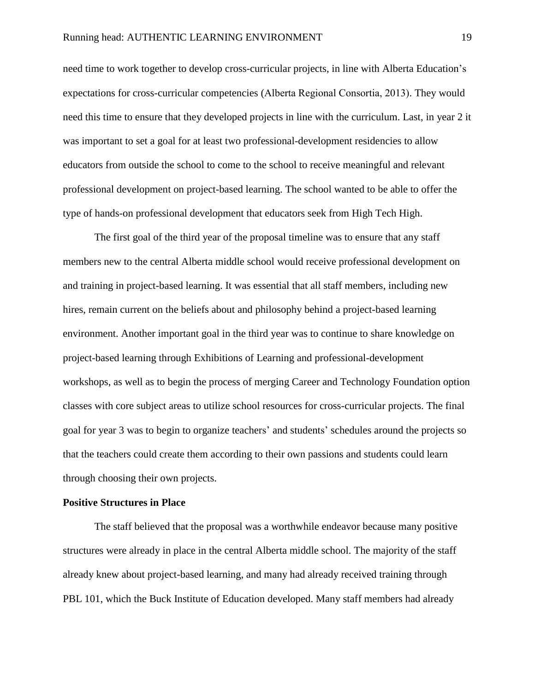need time to work together to develop cross-curricular projects, in line with Alberta Education's expectations for cross-curricular competencies (Alberta Regional Consortia, 2013). They would need this time to ensure that they developed projects in line with the curriculum. Last, in year 2 it was important to set a goal for at least two professional-development residencies to allow educators from outside the school to come to the school to receive meaningful and relevant professional development on project-based learning. The school wanted to be able to offer the type of hands-on professional development that educators seek from High Tech High.

The first goal of the third year of the proposal timeline was to ensure that any staff members new to the central Alberta middle school would receive professional development on and training in project-based learning. It was essential that all staff members, including new hires, remain current on the beliefs about and philosophy behind a project-based learning environment. Another important goal in the third year was to continue to share knowledge on project-based learning through Exhibitions of Learning and professional-development workshops, as well as to begin the process of merging Career and Technology Foundation option classes with core subject areas to utilize school resources for cross-curricular projects. The final goal for year 3 was to begin to organize teachers' and students' schedules around the projects so that the teachers could create them according to their own passions and students could learn through choosing their own projects.

#### <span id="page-23-0"></span>**Positive Structures in Place**

The staff believed that the proposal was a worthwhile endeavor because many positive structures were already in place in the central Alberta middle school. The majority of the staff already knew about project-based learning, and many had already received training through PBL 101, which the Buck Institute of Education developed. Many staff members had already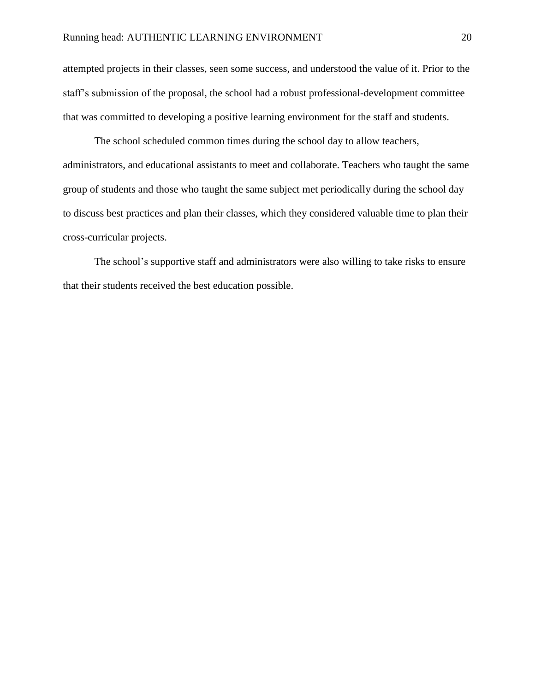attempted projects in their classes, seen some success, and understood the value of it. Prior to the staff's submission of the proposal, the school had a robust professional-development committee that was committed to developing a positive learning environment for the staff and students.

The school scheduled common times during the school day to allow teachers, administrators, and educational assistants to meet and collaborate. Teachers who taught the same group of students and those who taught the same subject met periodically during the school day to discuss best practices and plan their classes, which they considered valuable time to plan their cross-curricular projects.

The school's supportive staff and administrators were also willing to take risks to ensure that their students received the best education possible.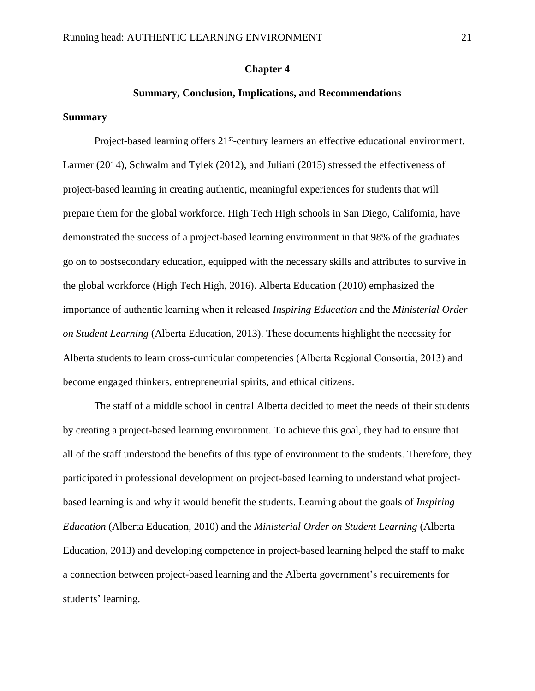#### **Chapter 4**

#### **Summary, Conclusion, Implications, and Recommendations**

#### <span id="page-25-2"></span><span id="page-25-1"></span><span id="page-25-0"></span>**Summary**

Project-based learning offers 21<sup>st</sup>-century learners an effective educational environment. Larmer (2014), Schwalm and Tylek (2012), and Juliani (2015) stressed the effectiveness of project-based learning in creating authentic, meaningful experiences for students that will prepare them for the global workforce. High Tech High schools in San Diego, California, have demonstrated the success of a project-based learning environment in that 98% of the graduates go on to postsecondary education, equipped with the necessary skills and attributes to survive in the global workforce (High Tech High, 2016). Alberta Education (2010) emphasized the importance of authentic learning when it released *Inspiring Education* and the *Ministerial Order on Student Learning* (Alberta Education, 2013). These documents highlight the necessity for Alberta students to learn cross-curricular competencies (Alberta Regional Consortia, 2013) and become engaged thinkers, entrepreneurial spirits, and ethical citizens.

The staff of a middle school in central Alberta decided to meet the needs of their students by creating a project-based learning environment. To achieve this goal, they had to ensure that all of the staff understood the benefits of this type of environment to the students. Therefore, they participated in professional development on project-based learning to understand what projectbased learning is and why it would benefit the students. Learning about the goals of *Inspiring Education* (Alberta Education, 2010) and the *Ministerial Order on Student Learning* (Alberta Education, 2013) and developing competence in project-based learning helped the staff to make a connection between project-based learning and the Alberta government's requirements for students' learning.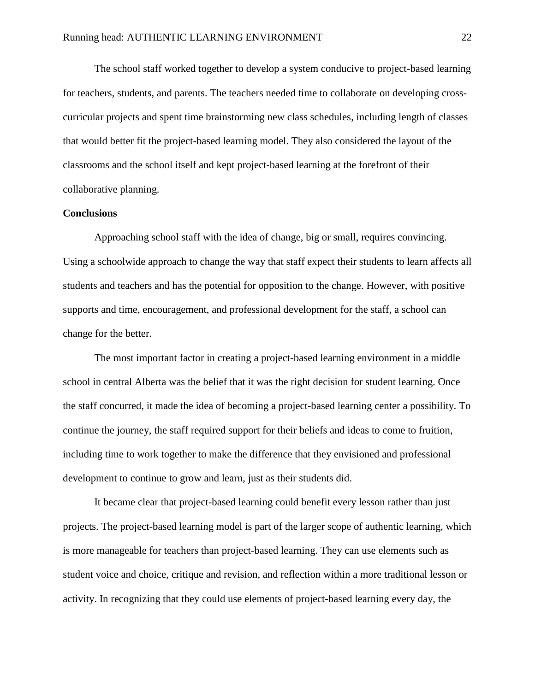The school staff worked together to develop a system conducive to project-based learning for teachers, students, and parents. The teachers needed time to collaborate on developing crosscurricular projects and spent time brainstorming new class schedules, including length of classes that would better fit the project-based learning model. They also considered the layout of the classrooms and the school itself and kept project-based learning at the forefront of their collaborative planning.

## <span id="page-26-0"></span>**Conclusions**

Approaching school staff with the idea of change, big or small, requires convincing. Using a schoolwide approach to change the way that staff expect their students to learn affects all students and teachers and has the potential for opposition to the change. However, with positive supports and time, encouragement, and professional development for the staff, a school can change for the better.

The most important factor in creating a project-based learning environment in a middle school in central Alberta was the belief that it was the right decision for student learning. Once the staff concurred, it made the idea of becoming a project-based learning center a possibility. To continue the journey, the staff required support for their beliefs and ideas to come to fruition, including time to work together to make the difference that they envisioned and professional development to continue to grow and learn, just as their students did.

It became clear that project-based learning could benefit every lesson rather than just projects. The project-based learning model is part of the larger scope of authentic learning, which is more manageable for teachers than project-based learning. They can use elements such as student voice and choice, critique and revision, and reflection within a more traditional lesson or activity. In recognizing that they could use elements of project-based learning every day, the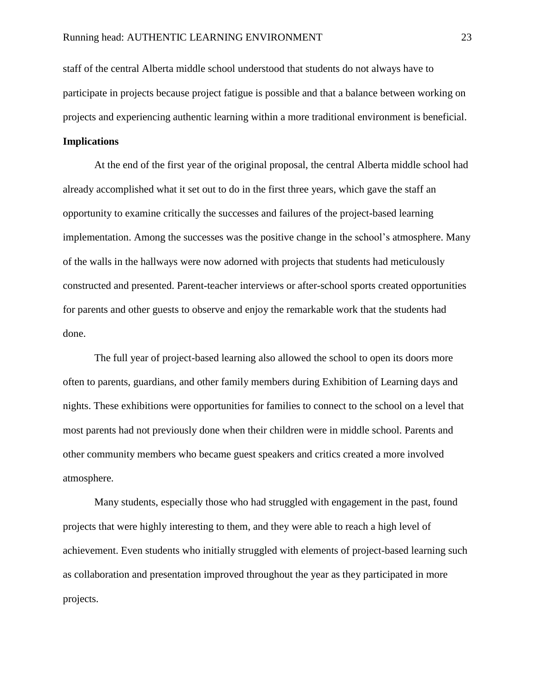staff of the central Alberta middle school understood that students do not always have to participate in projects because project fatigue is possible and that a balance between working on projects and experiencing authentic learning within a more traditional environment is beneficial.

## <span id="page-27-0"></span>**Implications**

At the end of the first year of the original proposal, the central Alberta middle school had already accomplished what it set out to do in the first three years, which gave the staff an opportunity to examine critically the successes and failures of the project-based learning implementation. Among the successes was the positive change in the school's atmosphere. Many of the walls in the hallways were now adorned with projects that students had meticulously constructed and presented. Parent-teacher interviews or after-school sports created opportunities for parents and other guests to observe and enjoy the remarkable work that the students had done.

The full year of project-based learning also allowed the school to open its doors more often to parents, guardians, and other family members during Exhibition of Learning days and nights. These exhibitions were opportunities for families to connect to the school on a level that most parents had not previously done when their children were in middle school. Parents and other community members who became guest speakers and critics created a more involved atmosphere.

Many students, especially those who had struggled with engagement in the past, found projects that were highly interesting to them, and they were able to reach a high level of achievement. Even students who initially struggled with elements of project-based learning such as collaboration and presentation improved throughout the year as they participated in more projects.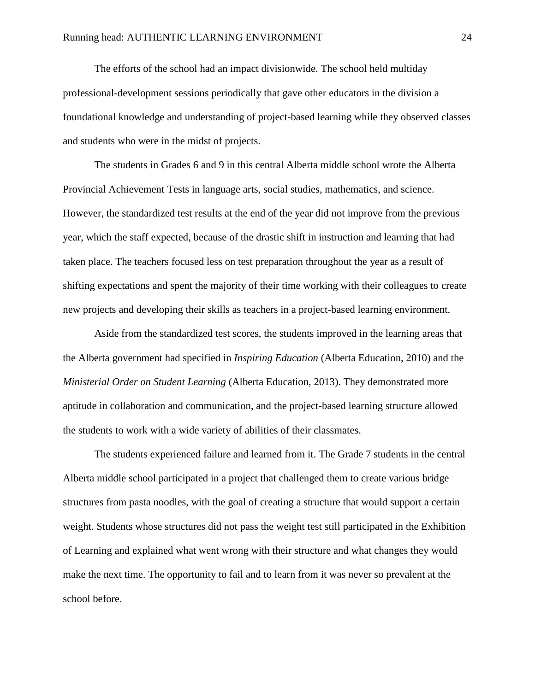The efforts of the school had an impact divisionwide. The school held multiday professional-development sessions periodically that gave other educators in the division a foundational knowledge and understanding of project-based learning while they observed classes and students who were in the midst of projects.

The students in Grades 6 and 9 in this central Alberta middle school wrote the Alberta Provincial Achievement Tests in language arts, social studies, mathematics, and science. However, the standardized test results at the end of the year did not improve from the previous year, which the staff expected, because of the drastic shift in instruction and learning that had taken place. The teachers focused less on test preparation throughout the year as a result of shifting expectations and spent the majority of their time working with their colleagues to create new projects and developing their skills as teachers in a project-based learning environment.

Aside from the standardized test scores, the students improved in the learning areas that the Alberta government had specified in *Inspiring Education* (Alberta Education, 2010) and the *Ministerial Order on Student Learning* (Alberta Education, 2013). They demonstrated more aptitude in collaboration and communication, and the project-based learning structure allowed the students to work with a wide variety of abilities of their classmates.

The students experienced failure and learned from it. The Grade 7 students in the central Alberta middle school participated in a project that challenged them to create various bridge structures from pasta noodles, with the goal of creating a structure that would support a certain weight. Students whose structures did not pass the weight test still participated in the Exhibition of Learning and explained what went wrong with their structure and what changes they would make the next time. The opportunity to fail and to learn from it was never so prevalent at the school before.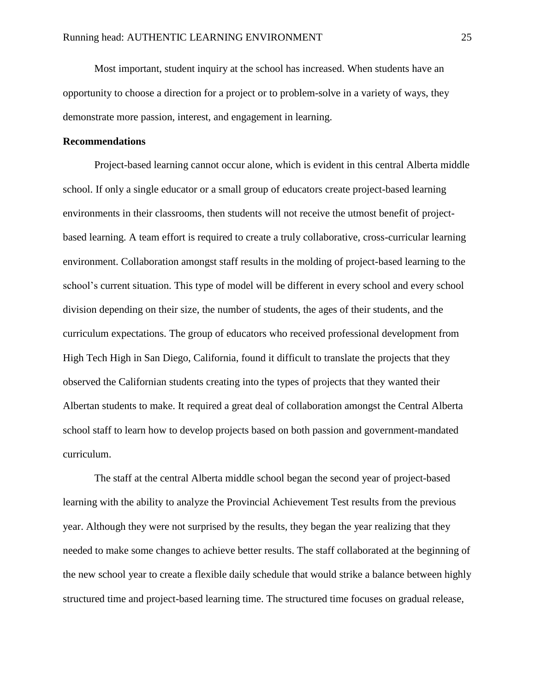Most important, student inquiry at the school has increased. When students have an opportunity to choose a direction for a project or to problem-solve in a variety of ways, they demonstrate more passion, interest, and engagement in learning.

## <span id="page-29-0"></span>**Recommendations**

Project-based learning cannot occur alone, which is evident in this central Alberta middle school. If only a single educator or a small group of educators create project-based learning environments in their classrooms, then students will not receive the utmost benefit of projectbased learning. A team effort is required to create a truly collaborative, cross-curricular learning environment. Collaboration amongst staff results in the molding of project-based learning to the school's current situation. This type of model will be different in every school and every school division depending on their size, the number of students, the ages of their students, and the curriculum expectations. The group of educators who received professional development from High Tech High in San Diego, California, found it difficult to translate the projects that they observed the Californian students creating into the types of projects that they wanted their Albertan students to make. It required a great deal of collaboration amongst the Central Alberta school staff to learn how to develop projects based on both passion and government-mandated curriculum.

The staff at the central Alberta middle school began the second year of project-based learning with the ability to analyze the Provincial Achievement Test results from the previous year. Although they were not surprised by the results, they began the year realizing that they needed to make some changes to achieve better results. The staff collaborated at the beginning of the new school year to create a flexible daily schedule that would strike a balance between highly structured time and project-based learning time. The structured time focuses on gradual release,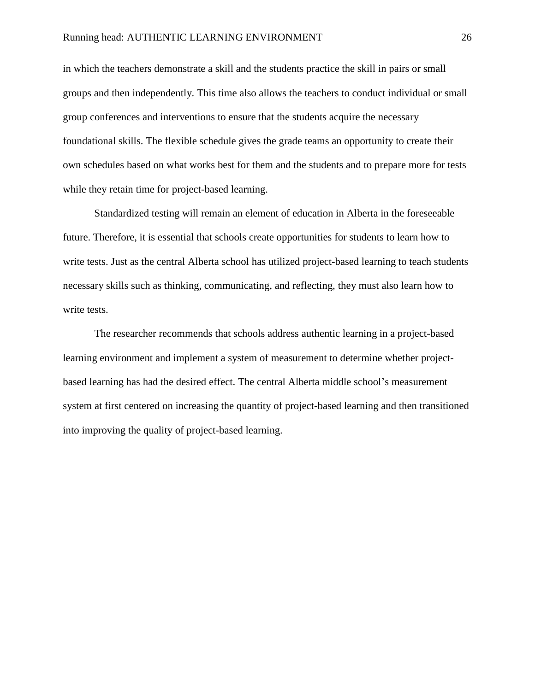in which the teachers demonstrate a skill and the students practice the skill in pairs or small groups and then independently. This time also allows the teachers to conduct individual or small group conferences and interventions to ensure that the students acquire the necessary foundational skills. The flexible schedule gives the grade teams an opportunity to create their own schedules based on what works best for them and the students and to prepare more for tests while they retain time for project-based learning.

Standardized testing will remain an element of education in Alberta in the foreseeable future. Therefore, it is essential that schools create opportunities for students to learn how to write tests. Just as the central Alberta school has utilized project-based learning to teach students necessary skills such as thinking, communicating, and reflecting, they must also learn how to write tests.

The researcher recommends that schools address authentic learning in a project-based learning environment and implement a system of measurement to determine whether projectbased learning has had the desired effect. The central Alberta middle school's measurement system at first centered on increasing the quantity of project-based learning and then transitioned into improving the quality of project-based learning.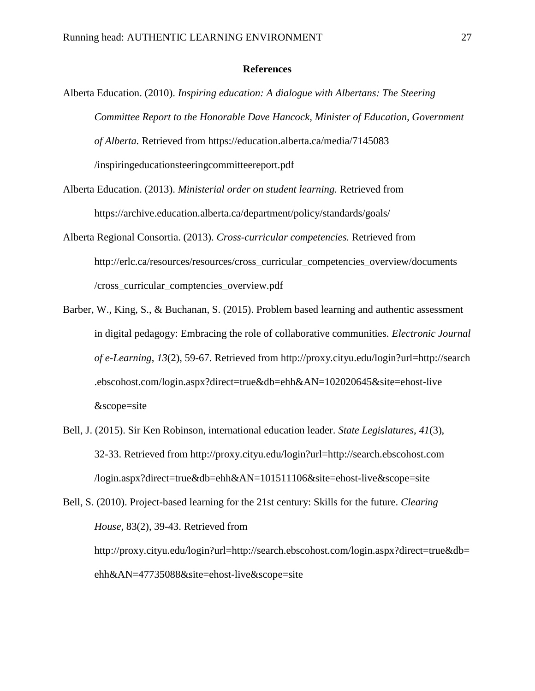#### **References**

- <span id="page-31-0"></span>Alberta Education. (2010). *Inspiring education: A dialogue with Albertans: The Steering Committee Report to the Honorable Dave Hancock, Minister of Education, Government of Alberta.* Retrieved from https://education.alberta.ca/media/7145083 /inspiringeducationsteeringcommitteereport.pdf
- Alberta Education. (2013). *Ministerial order on student learning.* Retrieved from https://archive.education.alberta.ca/department/policy/standards/goals/
- Alberta Regional Consortia. (2013). *Cross-curricular competencies.* Retrieved from http://erlc.ca/resources/resources/cross\_curricular\_competencies\_overview/documents /cross\_curricular\_comptencies\_overview.pdf
- Barber, W., King, S., & Buchanan, S. (2015). Problem based learning and authentic assessment in digital pedagogy: Embracing the role of collaborative communities. *Electronic Journal of e-Learning*, *13*(2), 59-67. Retrieved from http://proxy.cityu.edu/login?url=http://search .ebscohost.com/login.aspx?direct=true&db=ehh&AN=102020645&site=ehost-live &scope=site
- Bell, J. (2015). Sir Ken Robinson, international education leader. *State Legislatures*, *41*(3), 32-33. Retrieved from http://proxy.cityu.edu/login?url=http://search.ebscohost.com /login.aspx?direct=true&db=ehh&AN=101511106&site=ehost-live&scope=site
- Bell, S. (2010). Project-based learning for the 21st century: Skills for the future. *Clearing House*, 83(2), 39-43. Retrieved from http://proxy.cityu.edu/login?url=http://search.ebscohost.com/login.aspx?direct=true&db= ehh&AN=47735088&site=ehost-live&scope=site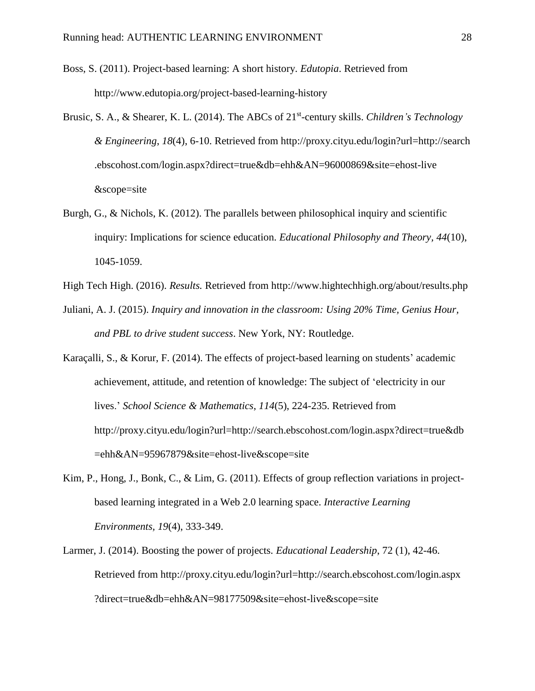- Boss, S. (2011). Project-based learning: A short history. *Edutopia*. Retrieved from http://www.edutopia.org/project-based-learning-history
- Brusic, S. A., & Shearer, K. L. (2014). The ABCs of 21<sup>st</sup>-century skills. *Children's Technology & Engineering*, *18*(4), 6-10. Retrieved from http://proxy.cityu.edu/login?url=http://search .ebscohost.com/login.aspx?direct=true&db=ehh&AN=96000869&site=ehost-live &scope=site
- Burgh, G., & Nichols, K. (2012). The parallels between philosophical inquiry and scientific inquiry: Implications for science education. *Educational Philosophy and Theory, 44*(10), 1045-1059.
- High Tech High. (2016). *Results.* Retrieved from http://www.hightechhigh.org/about/results.php
- Juliani, A. J. (2015). *Inquiry and innovation in the classroom: Using 20% Time, Genius Hour, and PBL to drive student success*. New York, NY: Routledge.
- Karaçalli, S., & Korur, F. (2014). The effects of project-based learning on students' academic achievement, attitude, and retention of knowledge: The subject of 'electricity in our lives.' *School Science & Mathematics*, *114*(5), 224-235. Retrieved from http://proxy.cityu.edu/login?url=http://search.ebscohost.com/login.aspx?direct=true&db =ehh&AN=95967879&site=ehost-live&scope=site
- Kim, P., Hong, J., Bonk, C., & Lim, G. (2011). Effects of group reflection variations in projectbased learning integrated in a Web 2.0 learning space. *Interactive Learning Environments, 19*(4), 333-349.
- Larmer, J. (2014). Boosting the power of projects. *Educational Leadership*, 72 (1), 42-46. Retrieved from http://proxy.cityu.edu/login?url=http://search.ebscohost.com/login.aspx ?direct=true&db=ehh&AN=98177509&site=ehost-live&scope=site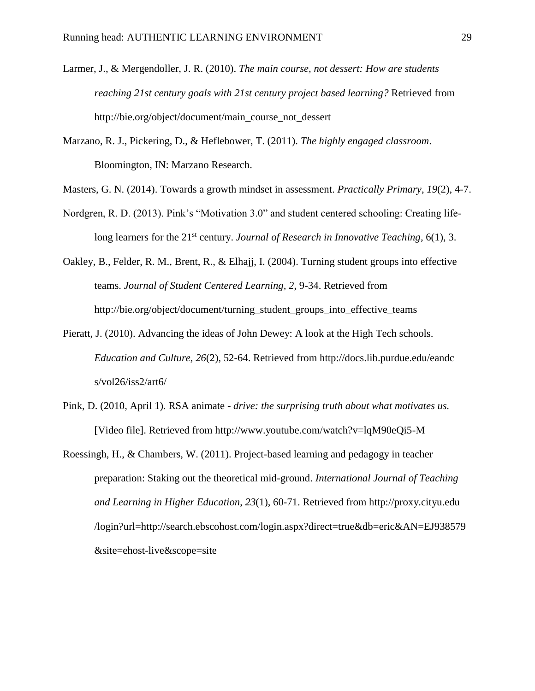- Larmer, J., & Mergendoller, J. R. (2010). *The main course, not dessert: How are students reaching 21st century goals with 21st century project based learning?* Retrieved from http://bie.org/object/document/main\_course\_not\_dessert
- Marzano, R. J., Pickering, D., & Heflebower, T. (2011). *The highly engaged classroom*. Bloomington, IN: Marzano Research.
- Masters, G. N. (2014). Towards a growth mindset in assessment. *Practically Primary*, *19*(2), 4-7.
- Nordgren, R. D. (2013). Pink's "Motivation 3.0" and student centered schooling: Creating lifelong learners for the 21<sup>st</sup> century. *Journal of Research in Innovative Teaching*, 6(1), 3.
- Oakley, B., Felder, R. M., Brent, R., & Elhajj, I. (2004). Turning student groups into effective teams. *Journal of Student Centered Learning, 2*, 9-34. Retrieved from http://bie.org/object/document/turning\_student\_groups\_into\_effective\_teams
- Pieratt, J. (2010). Advancing the ideas of John Dewey: A look at the High Tech schools. *Education and Culture, 26*(2), 52-64. Retrieved from http://docs.lib.purdue.edu/eandc s/vol26/iss2/art6/
- Pink, D. (2010, April 1). RSA animate *drive: the surprising truth about what motivates us.*  [Video file]. Retrieved from http://www.youtube.com/watch?v=lqM90eQi5-M
- Roessingh, H., & Chambers, W. (2011). Project-based learning and pedagogy in teacher preparation: Staking out the theoretical mid-ground. *International Journal of Teaching and Learning in Higher Education*, *23*(1), 60-71. Retrieved from http://proxy.cityu.edu /login?url=http://search.ebscohost.com/login.aspx?direct=true&db=eric&AN=EJ938579 &site=ehost-live&scope=site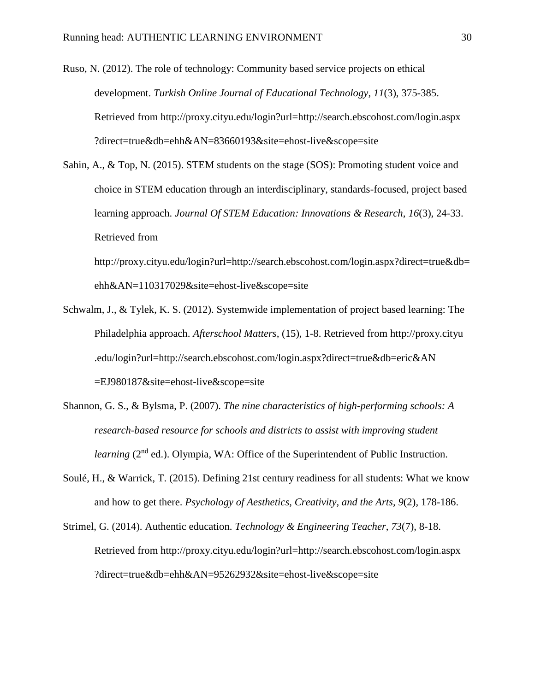Ruso, N. (2012). The role of technology: Community based service projects on ethical development. *Turkish Online Journal of Educational Technology*, *11*(3), 375-385. Retrieved from http://proxy.cityu.edu/login?url=http://search.ebscohost.com/login.aspx ?direct=true&db=ehh&AN=83660193&site=ehost-live&scope=site

Sahin, A., & Top, N. (2015). STEM students on the stage (SOS): Promoting student voice and choice in STEM education through an interdisciplinary, standards-focused, project based learning approach. *Journal Of STEM Education: Innovations & Research*, *16*(3), 24-33. Retrieved from

http://proxy.cityu.edu/login?url=http://search.ebscohost.com/login.aspx?direct=true&db= ehh&AN=110317029&site=ehost-live&scope=site

- Schwalm, J., & Tylek, K. S. (2012). Systemwide implementation of project based learning: The Philadelphia approach. *Afterschool Matters,* (15), 1-8. Retrieved from http://proxy.cityu .edu/login?url=http://search.ebscohost.com/login.aspx?direct=true&db=eric&AN =EJ980187&site=ehost-live&scope=site
- Shannon, G. S., & Bylsma, P. (2007). *The nine characteristics of high-performing schools: A research-based resource for schools and districts to assist with improving student learning* (2<sup>nd</sup> ed.). Olympia, WA: Office of the Superintendent of Public Instruction.
- Soulé, H., & Warrick, T. (2015). Defining 21st century readiness for all students: What we know and how to get there. *Psychology of Aesthetics, Creativity, and the Arts, 9*(2), 178-186.
- Strimel, G. (2014). Authentic education. *Technology & Engineering Teacher*, *73*(7), 8-18. Retrieved from http://proxy.cityu.edu/login?url=http://search.ebscohost.com/login.aspx ?direct=true&db=ehh&AN=95262932&site=ehost-live&scope=site